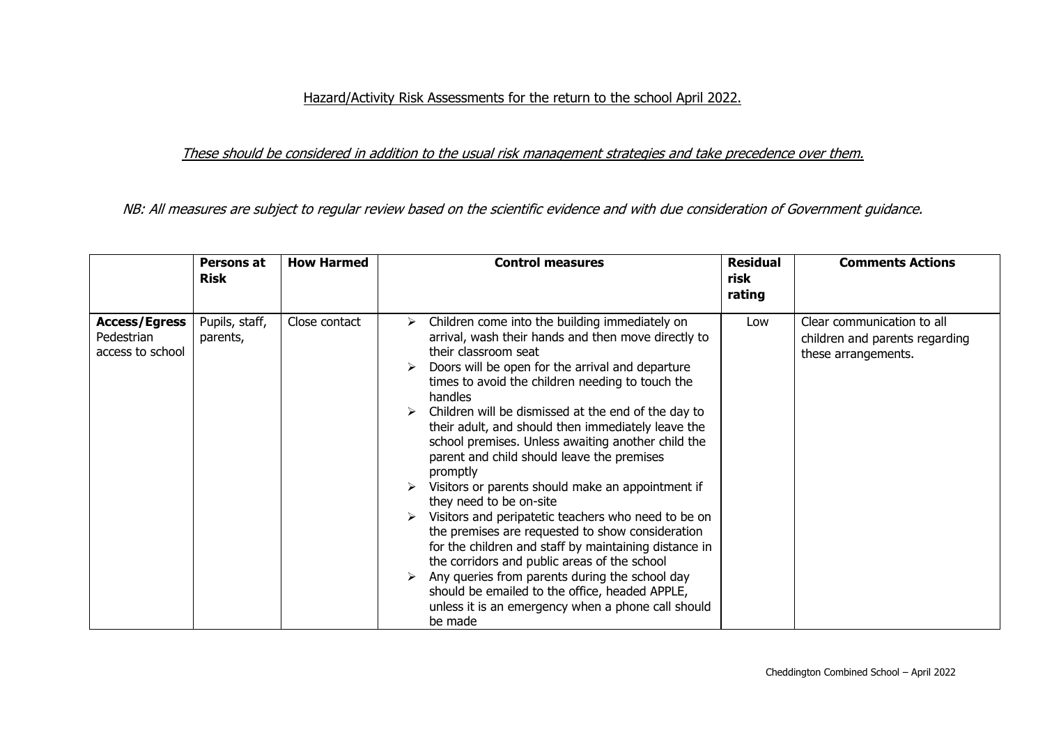## Hazard/Activity Risk Assessments for the return to the school April 2022.

## These should be considered in addition to the usual risk management strategies and take precedence over them.

NB: All measures are subject to regular review based on the scientific evidence and with due consideration of Government guidance.

|                                                        | Persons at<br><b>Risk</b>  | <b>How Harmed</b> | <b>Control measures</b>                                                                                                                                                                                                                                                                                                                                                                                                                                                                                                                                                                                                                                                                                                                                                                                                                                                                                                                                     | <b>Residual</b><br>risk<br>rating | <b>Comments Actions</b>                                                             |
|--------------------------------------------------------|----------------------------|-------------------|-------------------------------------------------------------------------------------------------------------------------------------------------------------------------------------------------------------------------------------------------------------------------------------------------------------------------------------------------------------------------------------------------------------------------------------------------------------------------------------------------------------------------------------------------------------------------------------------------------------------------------------------------------------------------------------------------------------------------------------------------------------------------------------------------------------------------------------------------------------------------------------------------------------------------------------------------------------|-----------------------------------|-------------------------------------------------------------------------------------|
| <b>Access/Egress</b><br>Pedestrian<br>access to school | Pupils, staff,<br>parents, | Close contact     | Children come into the building immediately on<br>➤<br>arrival, wash their hands and then move directly to<br>their classroom seat<br>Doors will be open for the arrival and departure<br>times to avoid the children needing to touch the<br>handles<br>Children will be dismissed at the end of the day to<br>their adult, and should then immediately leave the<br>school premises. Unless awaiting another child the<br>parent and child should leave the premises<br>promptly<br>Visitors or parents should make an appointment if<br>they need to be on-site<br>Visitors and peripatetic teachers who need to be on<br>the premises are requested to show consideration<br>for the children and staff by maintaining distance in<br>the corridors and public areas of the school<br>Any queries from parents during the school day<br>should be emailed to the office, headed APPLE,<br>unless it is an emergency when a phone call should<br>be made | Low                               | Clear communication to all<br>children and parents regarding<br>these arrangements. |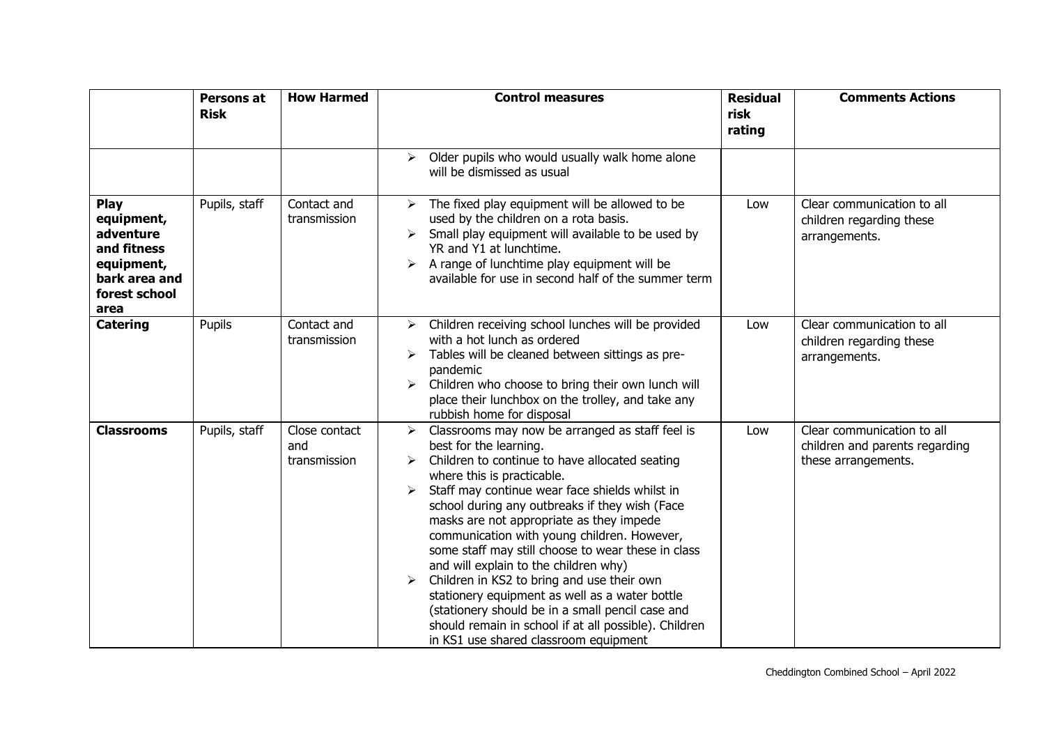|                                                                                                               | Persons at<br><b>Risk</b> | <b>How Harmed</b>                    | <b>Control measures</b>                                                                                                                                                                                                                                                                                                                                                                                                                                                                                                                                                                                                                                                                                            | <b>Residual</b><br>risk<br>rating | <b>Comments Actions</b>                                                             |
|---------------------------------------------------------------------------------------------------------------|---------------------------|--------------------------------------|--------------------------------------------------------------------------------------------------------------------------------------------------------------------------------------------------------------------------------------------------------------------------------------------------------------------------------------------------------------------------------------------------------------------------------------------------------------------------------------------------------------------------------------------------------------------------------------------------------------------------------------------------------------------------------------------------------------------|-----------------------------------|-------------------------------------------------------------------------------------|
|                                                                                                               |                           |                                      | Older pupils who would usually walk home alone<br>➤<br>will be dismissed as usual                                                                                                                                                                                                                                                                                                                                                                                                                                                                                                                                                                                                                                  |                                   |                                                                                     |
| <b>Play</b><br>equipment,<br>adventure<br>and fitness<br>equipment,<br>bark area and<br>forest school<br>area | Pupils, staff             | Contact and<br>transmission          | The fixed play equipment will be allowed to be<br>➤<br>used by the children on a rota basis.<br>Small play equipment will available to be used by<br>➤<br>YR and Y1 at lunchtime.<br>A range of lunchtime play equipment will be<br>available for use in second half of the summer term                                                                                                                                                                                                                                                                                                                                                                                                                            | Low                               | Clear communication to all<br>children regarding these<br>arrangements.             |
| <b>Catering</b>                                                                                               | Pupils                    | Contact and<br>transmission          | Children receiving school lunches will be provided<br>≻<br>with a hot lunch as ordered<br>Tables will be cleaned between sittings as pre-<br>➤<br>pandemic<br>$\triangleright$ Children who choose to bring their own lunch will<br>place their lunchbox on the trolley, and take any<br>rubbish home for disposal                                                                                                                                                                                                                                                                                                                                                                                                 | Low                               | Clear communication to all<br>children regarding these<br>arrangements.             |
| <b>Classrooms</b>                                                                                             | Pupils, staff             | Close contact<br>and<br>transmission | Classrooms may now be arranged as staff feel is<br>➤<br>best for the learning.<br>Children to continue to have allocated seating<br>where this is practicable.<br>Staff may continue wear face shields whilst in<br>school during any outbreaks if they wish (Face<br>masks are not appropriate as they impede<br>communication with young children. However,<br>some staff may still choose to wear these in class<br>and will explain to the children why)<br>Children in KS2 to bring and use their own<br>stationery equipment as well as a water bottle<br>(stationery should be in a small pencil case and<br>should remain in school if at all possible). Children<br>in KS1 use shared classroom equipment | Low                               | Clear communication to all<br>children and parents regarding<br>these arrangements. |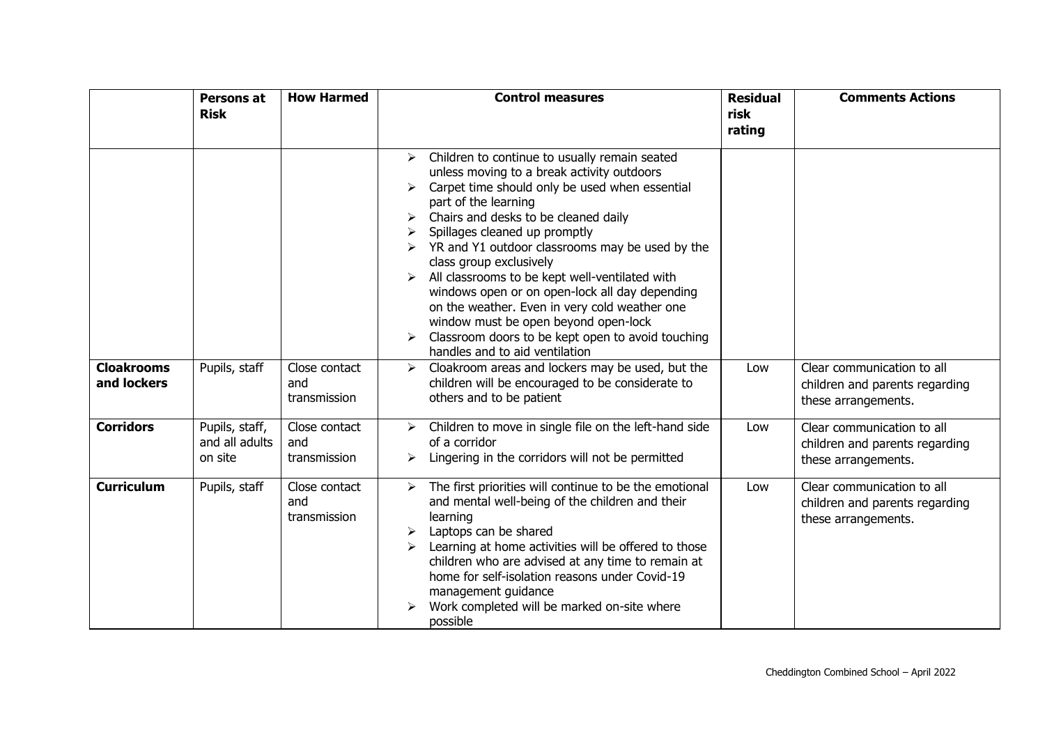|                                  | Persons at<br><b>Risk</b>                   | <b>How Harmed</b>                    | <b>Control measures</b>                                                                                                                                                                                                                                                                                                                                                                                                                                                                                                                                                                                                                            | <b>Residual</b><br>risk<br>rating | <b>Comments Actions</b>                                                             |
|----------------------------------|---------------------------------------------|--------------------------------------|----------------------------------------------------------------------------------------------------------------------------------------------------------------------------------------------------------------------------------------------------------------------------------------------------------------------------------------------------------------------------------------------------------------------------------------------------------------------------------------------------------------------------------------------------------------------------------------------------------------------------------------------------|-----------------------------------|-------------------------------------------------------------------------------------|
|                                  |                                             |                                      | $\triangleright$ Children to continue to usually remain seated<br>unless moving to a break activity outdoors<br>Carpet time should only be used when essential<br>part of the learning<br>Chairs and desks to be cleaned daily<br>Spillages cleaned up promptly<br>$\triangleright$ YR and Y1 outdoor classrooms may be used by the<br>class group exclusively<br>All classrooms to be kept well-ventilated with<br>windows open or on open-lock all day depending<br>on the weather. Even in very cold weather one<br>window must be open beyond open-lock<br>Classroom doors to be kept open to avoid touching<br>handles and to aid ventilation |                                   |                                                                                     |
| <b>Cloakrooms</b><br>and lockers | Pupils, staff                               | Close contact<br>and<br>transmission | Cloakroom areas and lockers may be used, but the<br>➤<br>children will be encouraged to be considerate to<br>others and to be patient                                                                                                                                                                                                                                                                                                                                                                                                                                                                                                              | Low                               | Clear communication to all<br>children and parents regarding<br>these arrangements. |
| <b>Corridors</b>                 | Pupils, staff,<br>and all adults<br>on site | Close contact<br>and<br>transmission | Children to move in single file on the left-hand side<br>of a corridor<br>Lingering in the corridors will not be permitted                                                                                                                                                                                                                                                                                                                                                                                                                                                                                                                         | Low                               | Clear communication to all<br>children and parents regarding<br>these arrangements. |
| <b>Curriculum</b>                | Pupils, staff                               | Close contact<br>and<br>transmission | The first priorities will continue to be the emotional<br>➤<br>and mental well-being of the children and their<br>learning<br>Laptops can be shared<br>Learning at home activities will be offered to those<br>children who are advised at any time to remain at<br>home for self-isolation reasons under Covid-19<br>management guidance<br>Work completed will be marked on-site where<br>possible                                                                                                                                                                                                                                               | Low                               | Clear communication to all<br>children and parents regarding<br>these arrangements. |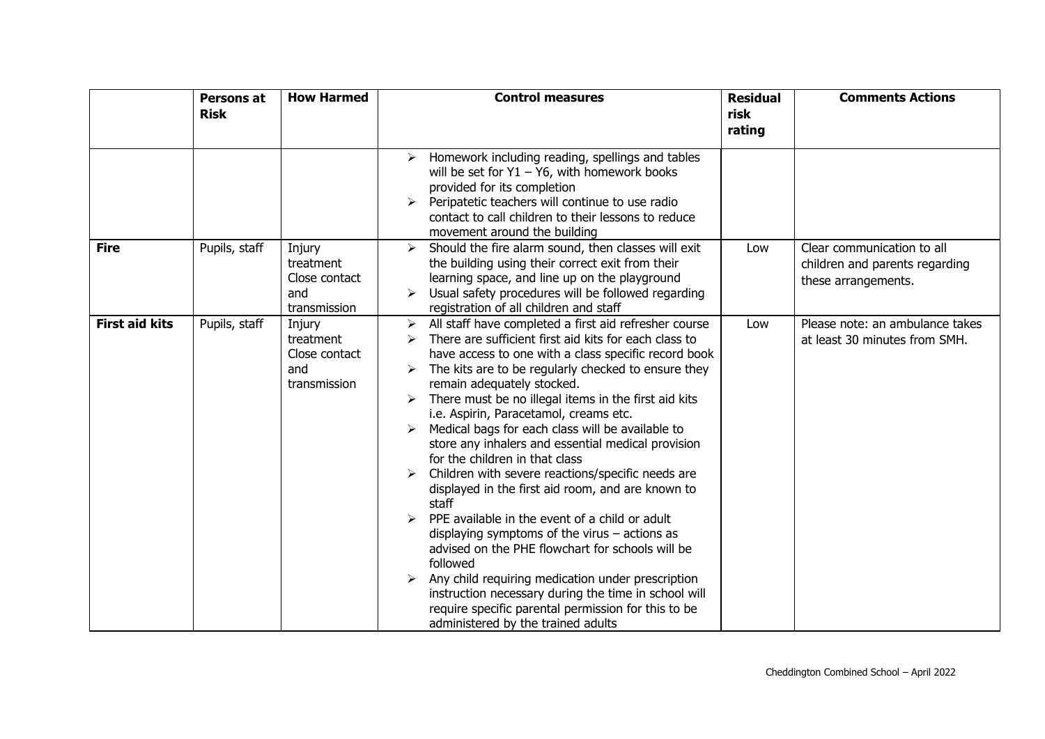|                       | Persons at<br><b>Risk</b> | <b>How Harmed</b>                                           | <b>Control measures</b>                                                                                                                                                                                                                                                                                                                                                                                                                                                                                                                                                                                                                                                                                                                                                                                                                                                                                                                                                                                               | <b>Residual</b><br>risk | <b>Comments Actions</b>                                                             |
|-----------------------|---------------------------|-------------------------------------------------------------|-----------------------------------------------------------------------------------------------------------------------------------------------------------------------------------------------------------------------------------------------------------------------------------------------------------------------------------------------------------------------------------------------------------------------------------------------------------------------------------------------------------------------------------------------------------------------------------------------------------------------------------------------------------------------------------------------------------------------------------------------------------------------------------------------------------------------------------------------------------------------------------------------------------------------------------------------------------------------------------------------------------------------|-------------------------|-------------------------------------------------------------------------------------|
|                       |                           |                                                             |                                                                                                                                                                                                                                                                                                                                                                                                                                                                                                                                                                                                                                                                                                                                                                                                                                                                                                                                                                                                                       | rating                  |                                                                                     |
|                       |                           |                                                             | Homework including reading, spellings and tables<br>➤<br>will be set for $Y1 - Y6$ , with homework books<br>provided for its completion<br>Peripatetic teachers will continue to use radio<br>➤<br>contact to call children to their lessons to reduce<br>movement around the building                                                                                                                                                                                                                                                                                                                                                                                                                                                                                                                                                                                                                                                                                                                                |                         |                                                                                     |
| <b>Fire</b>           | Pupils, staff             | Injury<br>treatment<br>Close contact<br>and<br>transmission | Should the fire alarm sound, then classes will exit<br>➤<br>the building using their correct exit from their<br>learning space, and line up on the playground<br>Usual safety procedures will be followed regarding<br>registration of all children and staff                                                                                                                                                                                                                                                                                                                                                                                                                                                                                                                                                                                                                                                                                                                                                         | Low                     | Clear communication to all<br>children and parents regarding<br>these arrangements. |
| <b>First aid kits</b> | Pupils, staff             | Injury<br>treatment<br>Close contact<br>and<br>transmission | All staff have completed a first aid refresher course<br>≻<br>There are sufficient first aid kits for each class to<br>have access to one with a class specific record book<br>The kits are to be regularly checked to ensure they<br>remain adequately stocked.<br>There must be no illegal items in the first aid kits<br>i.e. Aspirin, Paracetamol, creams etc.<br>Medical bags for each class will be available to<br>store any inhalers and essential medical provision<br>for the children in that class<br>Children with severe reactions/specific needs are<br>displayed in the first aid room, and are known to<br>staff<br>PPE available in the event of a child or adult<br>↘<br>displaying symptoms of the virus $-$ actions as<br>advised on the PHE flowchart for schools will be<br>followed<br>Any child requiring medication under prescription<br>instruction necessary during the time in school will<br>require specific parental permission for this to be<br>administered by the trained adults | Low                     | Please note: an ambulance takes<br>at least 30 minutes from SMH.                    |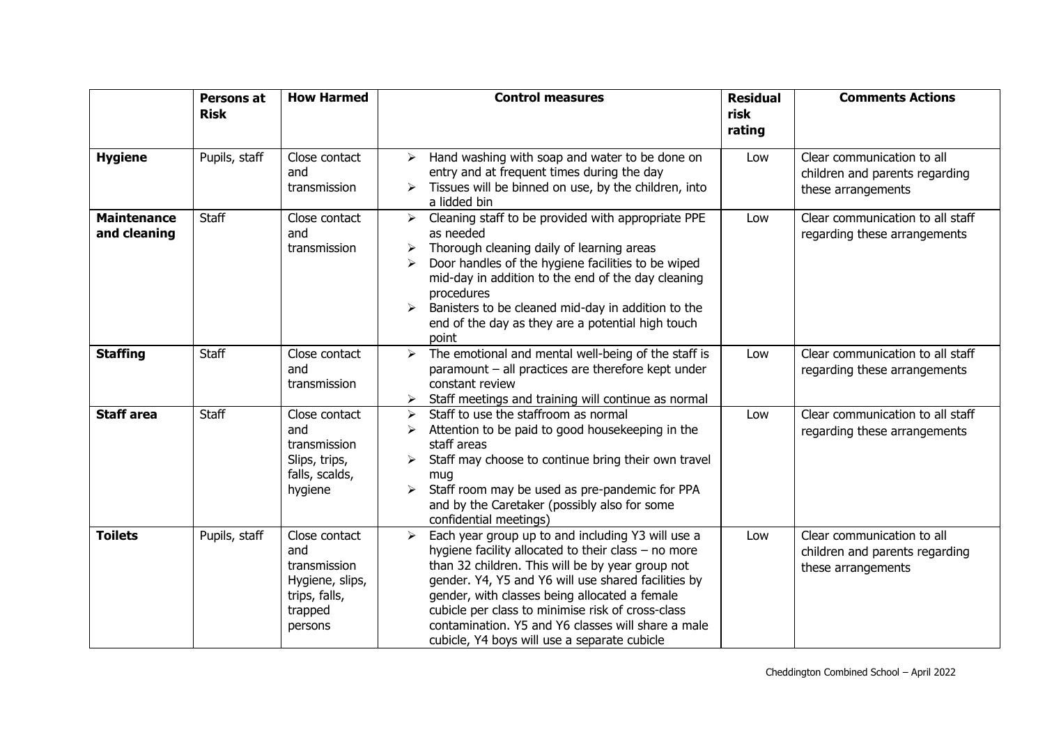|                                    | Persons at<br><b>Risk</b> | <b>How Harmed</b>                                                                              | <b>Control measures</b>                                                                                                                                                                                                                                                                                                                                                                                                                                    | <b>Residual</b><br>risk | <b>Comments Actions</b>                                                            |
|------------------------------------|---------------------------|------------------------------------------------------------------------------------------------|------------------------------------------------------------------------------------------------------------------------------------------------------------------------------------------------------------------------------------------------------------------------------------------------------------------------------------------------------------------------------------------------------------------------------------------------------------|-------------------------|------------------------------------------------------------------------------------|
|                                    |                           |                                                                                                |                                                                                                                                                                                                                                                                                                                                                                                                                                                            | rating                  |                                                                                    |
| <b>Hygiene</b>                     | Pupils, staff             | Close contact<br>and<br>transmission                                                           | $\triangleright$ Hand washing with soap and water to be done on<br>entry and at frequent times during the day<br>Tissues will be binned on use, by the children, into<br>a lidded bin                                                                                                                                                                                                                                                                      | Low                     | Clear communication to all<br>children and parents regarding<br>these arrangements |
| <b>Maintenance</b><br>and cleaning | <b>Staff</b>              | Close contact<br>and<br>transmission                                                           | Cleaning staff to be provided with appropriate PPE<br>➤<br>as needed<br>Thorough cleaning daily of learning areas<br>➤<br>Door handles of the hygiene facilities to be wiped<br>⋗<br>mid-day in addition to the end of the day cleaning<br>procedures<br>Banisters to be cleaned mid-day in addition to the<br>➤<br>end of the day as they are a potential high touch<br>point                                                                             | Low                     | Clear communication to all staff<br>regarding these arrangements                   |
| <b>Staffing</b>                    | <b>Staff</b>              | Close contact<br>and<br>transmission                                                           | The emotional and mental well-being of the staff is<br>➤<br>paramount - all practices are therefore kept under<br>constant review<br>Staff meetings and training will continue as normal<br>➤                                                                                                                                                                                                                                                              | Low                     | Clear communication to all staff<br>regarding these arrangements                   |
| <b>Staff area</b>                  | <b>Staff</b>              | Close contact<br>and<br>transmission<br>Slips, trips,<br>falls, scalds,<br>hygiene             | Staff to use the staffroom as normal<br>⋗<br>Attention to be paid to good housekeeping in the<br>≻<br>staff areas<br>Staff may choose to continue bring their own travel<br>➤<br>mug<br>Staff room may be used as pre-pandemic for PPA<br>➤<br>and by the Caretaker (possibly also for some<br>confidential meetings)                                                                                                                                      | Low                     | Clear communication to all staff<br>regarding these arrangements                   |
| <b>Toilets</b>                     | Pupils, staff             | Close contact<br>and<br>transmission<br>Hygiene, slips,<br>trips, falls,<br>trapped<br>persons | Each year group up to and including Y3 will use a<br>$\blacktriangleright$<br>hygiene facility allocated to their class $-$ no more<br>than 32 children. This will be by year group not<br>gender. Y4, Y5 and Y6 will use shared facilities by<br>gender, with classes being allocated a female<br>cubicle per class to minimise risk of cross-class<br>contamination. Y5 and Y6 classes will share a male<br>cubicle, Y4 boys will use a separate cubicle | Low                     | Clear communication to all<br>children and parents regarding<br>these arrangements |